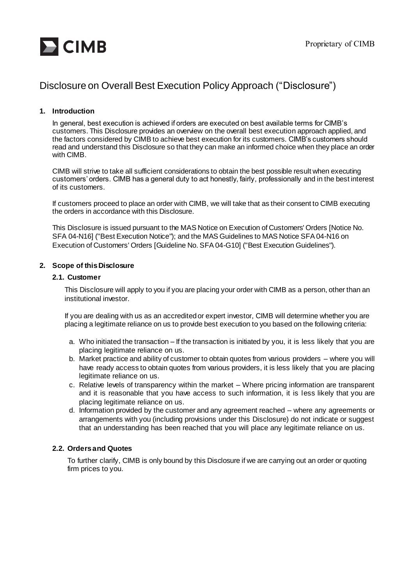

# Disclosure on Overall Best Execution Policy Approach ("Disclosure")

## **1. Introduction**

In general, best execution is achieved if orders are executed on best available terms for CIMB's customers. This Disclosure provides an overview on the overall best execution approach applied, and the factors considered by CIMB to achieve best execution for its customers. CIMB's customers should read and understand this Disclosure so that they can make an informed choice when they place an order with CIMB.

CIMB will strive to take all sufficient considerations to obtain the best possible result when executing customers' orders. CIMB has a general duty to act honestly, fairly, professionally and in the best interest of its customers.

If customers proceed to place an order with CIMB, we will take that as their consent to CIMB executing the orders in accordance with this Disclosure.

This Disclosure is issued pursuant to the MAS Notice on Execution of Customers' Orders [Notice No. SFA 04-N16] ("Best Execution Notice"); and the MAS Guidelines to MAS Notice SFA 04-N16 on Execution of Customers' Orders [Guideline No. SFA 04-G10] ("Best Execution Guidelines").

## **2. Scope of this Disclosure**

## **2.1. Customer**

This Disclosure will apply to you if you are placing your order with CIMB as a person, other than an institutional investor.

If you are dealing with us as an accredited or expert investor, CIMB will determine whether you are placing a legitimate reliance on us to provide best execution to you based on the following criteria:

- a. Who initiated the transaction If the transaction is initiated by you, it is less likely that you are placing legitimate reliance on us.
- b. Market practice and ability of customer to obtain quotes from various providers where you will have ready access to obtain quotes from various providers, it is less likely that you are placing legitimate reliance on us.
- c. Relative levels of transparency within the market Where pricing information are transparent and it is reasonable that you have access to such information, it is less likely that you are placing legitimate reliance on us.
- d. Information provided by the customer and any agreement reached where any agreements or arrangements with you (including provisions under this Disclosure) do not indicate or suggest that an understanding has been reached that you will place any legitimate reliance on us.

## **2.2. Orders and Quotes**

To further clarify, CIMB is only bound by this Disclosure if we are carrying out an order or quoting firm prices to you.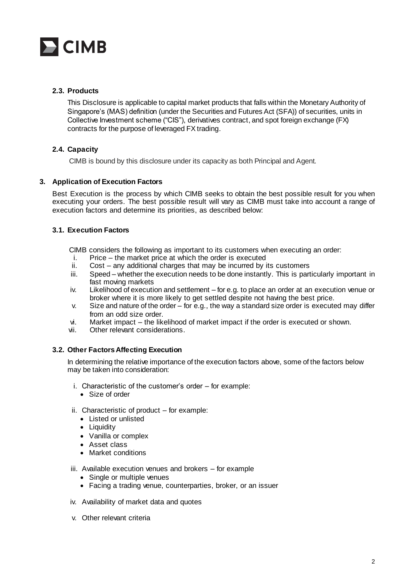

# **2.3. Products**

This Disclosure is applicable to capital market products that falls within the Monetary Authority of Singapore's (MAS) definition (under the Securities and Futures Act (SFA)) of securities, units in Collective Investment scheme ("CIS"), derivatives contract, and spot foreign exchange (FX) contracts for the purpose of leveraged FX trading.

# **2.4. Capacity**

CIMB is bound by this disclosure under its capacity as both Principal and Agent.

## **3. Application of Execution Factors**

Best Execution is the process by which CIMB seeks to obtain the best possible result for you when executing your orders. The best possible result will vary as CIMB must take into account a range of execution factors and determine its priorities, as described below:

## **3.1. Execution Factors**

CIMB considers the following as important to its customers when executing an order:

- i. Price the market price at which the order is executed
- ii. Cost any additional charges that may be incurred by its customers
- iii. Speed whether the execution needs to be done instantly. This is particularly important in fast moving markets
- iv. Likelihood of execution and settlement for e.g. to place an order at an execution venue or broker where it is more likely to get settled despite not having the best price.
- v. Size and nature of the order for e.g., the way a standard size order is executed may differ from an odd size order.
- vi. Market impact the likelihood of market impact if the order is executed or shown.
- vii. Other relevant considerations.

## **3.2. Other Factors Affecting Execution**

In determining the relative importance of the execution factors above, some of the factors below may be taken into consideration:

- i. Characteristic of the customer's order for example:
	- Size of order
- ii. Characteristic of product for example:
	- Listed or unlisted
	- Liquidity
	- Vanilla or complex
	- Asset class
	- Market conditions
- iii. Available execution venues and brokers for example
	- Single or multiple venues
	- Facing a trading venue, counterparties, broker, or an issuer
- iv. Availability of market data and quotes
- v. Other relevant criteria